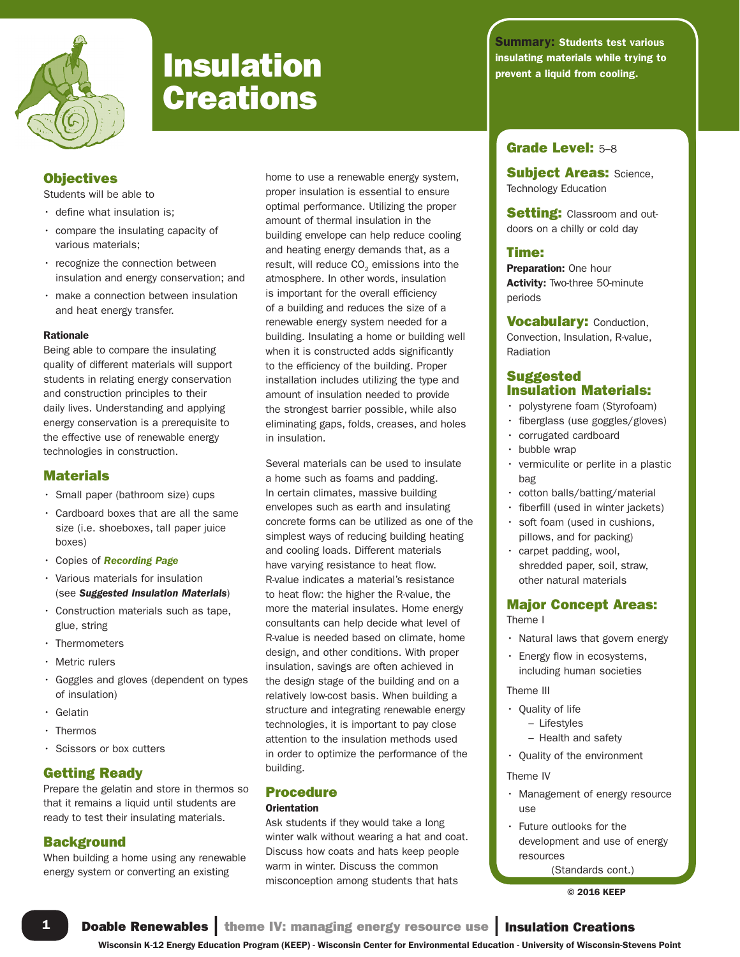

# **Creations**

# **Objectives**

Students will be able to

- define what insulation is;
- compare the insulating capacity of various materials;
- recognize the connection between insulation and energy conservation; and
- make a connection between insulation and heat energy transfer.

#### Rationale

Being able to compare the insulating quality of different materials will support students in relating energy conservation and construction principles to their daily lives. Understanding and applying energy conservation is a prerequisite to the effective use of renewable energy technologies in construction.

#### **Materials**

- Small paper (bathroom size) cups
- Cardboard boxes that are all the same size (i.e. shoeboxes, tall paper juice boxes)
- Copies of *Recording Page*
- Various materials for insulation (see *Suggested Insulation Materials*)
- Construction materials such as tape, glue, string
- Thermometers
- Metric rulers
- Goggles and gloves (dependent on types of insulation)
- Gelatin
- Thermos
- Scissors or box cutters

# Getting Ready

Prepare the gelatin and store in thermos so that it remains a liquid until students are ready to test their insulating materials.

#### **Background**

When building a home using any renewable energy system or converting an existing

home to use a renewable energy system, proper insulation is essential to ensure optimal performance. Utilizing the proper amount of thermal insulation in the building envelope can help reduce cooling and heating energy demands that, as a result, will reduce  $CO<sub>2</sub>$  emissions into the atmosphere. In other words, insulation is important for the overall efficiency of a building and reduces the size of a renewable energy system needed for a building. Insulating a home or building well when it is constructed adds significantly to the efficiency of the building. Proper installation includes utilizing the type and amount of insulation needed to provide the strongest barrier possible, while also eliminating gaps, folds, creases, and holes in insulation.

Several materials can be used to insulate a home such as foams and padding. In certain climates, massive building envelopes such as earth and insulating concrete forms can be utilized as one of the simplest ways of reducing building heating and cooling loads. Different materials have varying resistance to heat flow. R-value indicates a material's resistance to heat flow: the higher the R-value, the more the material insulates. Home energy consultants can help decide what level of R-value is needed based on climate, home design, and other conditions. With proper insulation, savings are often achieved in the design stage of the building and on a relatively low-cost basis. When building a structure and integrating renewable energy technologies, it is important to pay close attention to the insulation methods used in order to optimize the performance of the building.

# Procedure

#### **Orientation**

Ask students if they would take a long winter walk without wearing a hat and coat. Discuss how coats and hats keep people warm in winter. Discuss the common misconception among students that hats

**Summary: Students test various insulation** insulating materials while trying to **Insulation properties while trying to**  $\frac{1}{2}$  prevent a liquid from cooling.

# Grade Level: 5–8

**Subject Areas: Science,** Technology Education

**Setting: Classroom and out**doors on a chilly or cold day

### Time:

Preparation: One hour Activity: Two-three 50-minute periods

**Vocabulary: Conduction,** Convection, Insulation, R-value, Radiation

# **Suggested** Insulation Materials:

- polystyrene foam (Styrofoam)
- fiberglass (use goggles/gloves)
- corrugated cardboard
- bubble wrap
- vermiculite or perlite in a plastic bag
- cotton balls/batting/material
- fiberfill (used in winter jackets)
- soft foam (used in cushions, pillows, and for packing)
- carpet padding, wool, shredded paper, soil, straw, other natural materials

# Major Concept Areas:

Theme I

- Natural laws that govern energy
- Energy flow in ecosystems, including human societies

Theme III

- Quality of life
	- Lifestyles
	- Health and safety

• Quality of the environment

#### Theme IV

- Management of energy resource use
- Future outlooks for the development and use of energy resources

© 2016 KEEP

1 Doable Renewables | theme IV: managing energy resource use | Insulation Creations

Wisconsin K-12 Energy Education Program (KEEP) - Wisconsin Center for Environmental Education - University of Wisconsin-Stevens Point

<sup>(</sup>Standards cont.)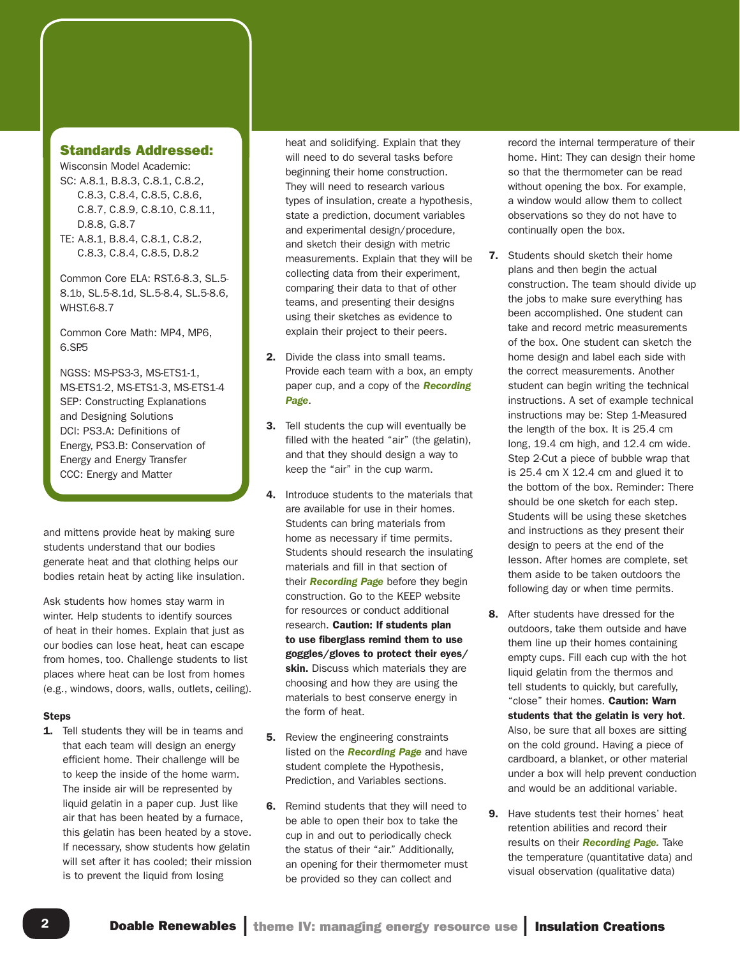#### Standards Addressed:

Wisconsin Model Academic: SC: A.8.1, B.8.3, C.8.1, C.8.2, C.8.3, C.8.4, C.8.5, C.8.6, C.8.7, C.8.9, C.8.10, C.8.11, D.8.8, G.8.7 TE: A.8.1, B.8.4, C.8.1, C.8.2, C.8.3, C.8.4, C.8.5, D.8.2

Common Core ELA: RST.6-8.3, SL.5- 8.1b, SL.5-8.1d, SL.5-8.4, SL.5-8.6, WHST.6-8.7

Common Core Math: MP4, MP6, 6.SP<sub>5</sub>

NGSS: MS-PS3-3, MS-ETS1-1, MS-ETS1-2, MS-ETS1-3, MS-ETS1-4 SEP: Constructing Explanations and Designing Solutions DCI: PS3.A: Definitions of Energy, PS3.B: Conservation of Energy and Energy Transfer CCC: Energy and Matter

and mittens provide heat by making sure students understand that our bodies generate heat and that clothing helps our bodies retain heat by acting like insulation.

Ask students how homes stay warm in winter. Help students to identify sources of heat in their homes. Explain that just as our bodies can lose heat, heat can escape from homes, too. Challenge students to list places where heat can be lost from homes (e.g., windows, doors, walls, outlets, ceiling).

#### Steps

**1.** Tell students they will be in teams and that each team will design an energy efficient home. Their challenge will be to keep the inside of the home warm. The inside air will be represented by liquid gelatin in a paper cup. Just like air that has been heated by a furnace, this gelatin has been heated by a stove. If necessary, show students how gelatin will set after it has cooled; their mission is to prevent the liquid from losing

heat and solidifying. Explain that they will need to do several tasks before beginning their home construction. They will need to research various types of insulation, create a hypothesis, state a prediction, document variables and experimental design/procedure, and sketch their design with metric measurements. Explain that they will be collecting data from their experiment, comparing their data to that of other teams, and presenting their designs using their sketches as evidence to explain their project to their peers.

- 2. Divide the class into small teams. Provide each team with a box, an empty paper cup, and a copy of the *Recording Page*.
- 3. Tell students the cup will eventually be filled with the heated "air" (the gelatin), and that they should design a way to keep the "air" in the cup warm.
- 4. Introduce students to the materials that are available for use in their homes. Students can bring materials from home as necessary if time permits. Students should research the insulating materials and fill in that section of their *Recording Page* before they begin construction. Go to the KEEP website for resources or conduct additional research. Caution: If students plan to use fiberglass remind them to use goggles/gloves to protect their eyes/ skin. Discuss which materials they are choosing and how they are using the materials to best conserve energy in the form of heat.
- **5.** Review the engineering constraints listed on the *Recording Page* and have student complete the Hypothesis, Prediction, and Variables sections.
- 6. Remind students that they will need to be able to open their box to take the cup in and out to periodically check the status of their "air." Additionally, an opening for their thermometer must be provided so they can collect and

record the internal termperature of their home. Hint: They can design their home so that the thermometer can be read without opening the box. For example, a window would allow them to collect observations so they do not have to continually open the box.

- 7. Students should sketch their home plans and then begin the actual construction. The team should divide up the jobs to make sure everything has been accomplished. One student can take and record metric measurements of the box. One student can sketch the home design and label each side with the correct measurements. Another student can begin writing the technical instructions. A set of example technical instructions may be: Step 1-Measured the length of the box. It is 25.4 cm long, 19.4 cm high, and 12.4 cm wide. Step 2-Cut a piece of bubble wrap that is 25.4 cm X 12.4 cm and glued it to the bottom of the box. Reminder: There should be one sketch for each step. Students will be using these sketches and instructions as they present their design to peers at the end of the lesson. After homes are complete, set them aside to be taken outdoors the following day or when time permits.
- 8. After students have dressed for the outdoors, take them outside and have them line up their homes containing empty cups. Fill each cup with the hot liquid gelatin from the thermos and tell students to quickly, but carefully, "close" their homes. Caution: Warn students that the gelatin is very hot. Also, be sure that all boxes are sitting on the cold ground. Having a piece of cardboard, a blanket, or other material under a box will help prevent conduction and would be an additional variable.
- 9. Have students test their homes' heat retention abilities and record their results on their *Recording Page.* Take the temperature (quantitative data) and visual observation (qualitative data)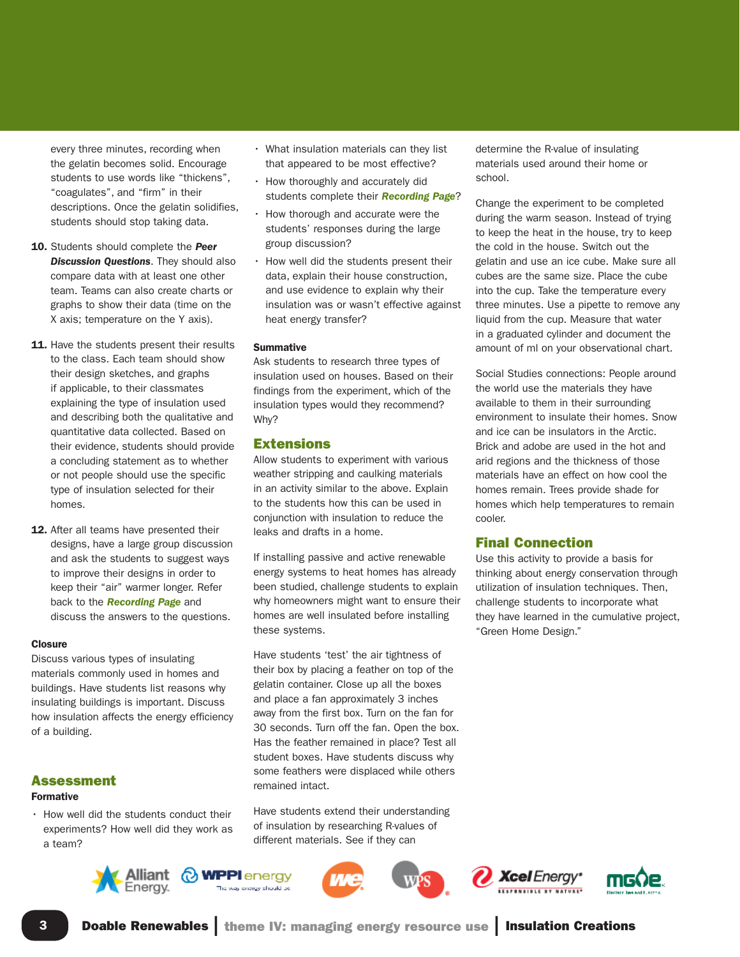every three minutes, recording when the gelatin becomes solid. Encourage students to use words like "thickens", "coagulates", and "firm" in their descriptions. Once the gelatin solidifies, students should stop taking data.

- 10. Students should complete the *Peer Discussion Questions*. They should also compare data with at least one other team. Teams can also create charts or graphs to show their data (time on the X axis; temperature on the Y axis).
- 11. Have the students present their results to the class. Each team should show their design sketches, and graphs if applicable, to their classmates explaining the type of insulation used and describing both the qualitative and quantitative data collected. Based on their evidence, students should provide a concluding statement as to whether or not people should use the specific type of insulation selected for their homes.
- 12. After all teams have presented their designs, have a large group discussion and ask the students to suggest ways to improve their designs in order to keep their "air" warmer longer. Refer back to the *Recording Page* and discuss the answers to the questions.

#### **Closure**

Discuss various types of insulating materials commonly used in homes and buildings. Have students list reasons why insulating buildings is important. Discuss how insulation affects the energy efficiency of a building.

#### Assessment

#### Formative

• How well did the students conduct their experiments? How well did they work as a team?

- What insulation materials can they list that appeared to be most effective?
- How thoroughly and accurately did students complete their *Recording Page*?
- How thorough and accurate were the students' responses during the large group discussion?
- How well did the students present their data, explain their house construction, and use evidence to explain why their insulation was or wasn't effective against heat energy transfer?

#### Summative

Ask students to research three types of insulation used on houses. Based on their findings from the experiment, which of the insulation types would they recommend? Why?

#### Extensions

Allow students to experiment with various weather stripping and caulking materials in an activity similar to the above. Explain to the students how this can be used in conjunction with insulation to reduce the leaks and drafts in a home.

If installing passive and active renewable energy systems to heat homes has already been studied, challenge students to explain why homeowners might want to ensure their homes are well insulated before installing these systems.

Have students 'test' the air tightness of their box by placing a feather on top of the gelatin container. Close up all the boxes and place a fan approximately 3 inches away from the first box. Turn on the fan for 30 seconds. Turn off the fan. Open the box. Has the feather remained in place? Test all student boxes. Have students discuss why some feathers were displaced while others remained intact.

Have students extend their understanding of insulation by researching R-values of different materials. See if they can

determine the R-value of insulating materials used around their home or school.

Change the experiment to be completed during the warm season. Instead of trying to keep the heat in the house, try to keep the cold in the house. Switch out the gelatin and use an ice cube. Make sure all cubes are the same size. Place the cube into the cup. Take the temperature every three minutes. Use a pipette to remove any liquid from the cup. Measure that water in a graduated cylinder and document the amount of ml on your observational chart.

Social Studies connections: People around the world use the materials they have available to them in their surrounding environment to insulate their homes. Snow and ice can be insulators in the Arctic. Brick and adobe are used in the hot and arid regions and the thickness of those materials have an effect on how cool the homes remain. Trees provide shade for homes which help temperatures to remain cooler.

#### Final Connection

Use this activity to provide a basis for thinking about energy conservation through utilization of insulation techniques. Then, challenge students to incorporate what they have learned in the cumulative project, "Green Home Design."











**3** Doable Renewables | theme IV: managing energy resource use | Insulation Creations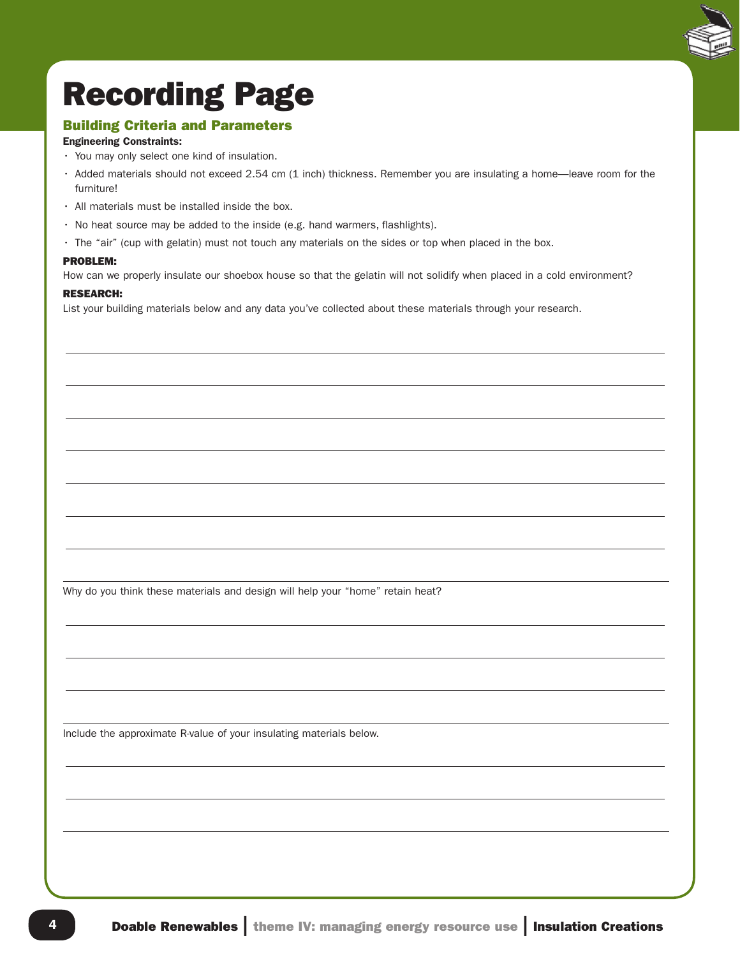

# Recording Page

# Building Criteria and Parameters

# Engineering Constraints:

- You may only select one kind of insulation.
- Added materials should not exceed 2.54 cm (1 inch) thickness. Remember you are insulating a home—leave room for the furniture!
- All materials must be installed inside the box.
- No heat source may be added to the inside (e.g. hand warmers, flashlights).
- The "air" (cup with gelatin) must not touch any materials on the sides or top when placed in the box.

#### PROBLEM:

How can we properly insulate our shoebox house so that the gelatin will not solidify when placed in a cold environment?

#### RESEARCH:

List your building materials below and any data you've collected about these materials through your research.

Why do you think these materials and design will help your "home" retain heat?

Include the approximate R-value of your insulating materials below.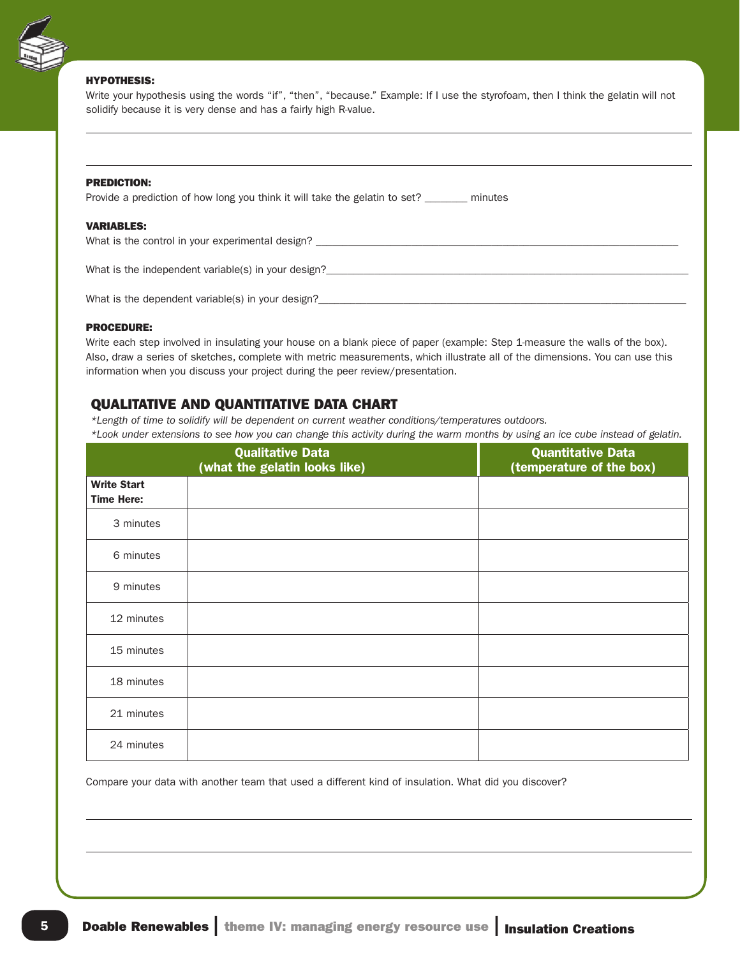

#### HYPOTHESIS:

Write your hypothesis using the words "if", "then", "because." Example: If I use the styrofoam, then I think the gelatin will not solidify because it is very dense and has a fairly high R-value.

#### PREDICTION:

Provide a prediction of how long you think it will take the gelatin to set? \_\_\_\_\_\_\_ minutes

#### VARIABLES:

What is the control in your experimental design?

What is the independent variable(s) in your design?

What is the dependent variable(s) in your design?

#### PROCEDURE:

Write each step involved in insulating your house on a blank piece of paper (example: Step 1-measure the walls of the box). Also, draw a series of sketches, complete with metric measurements, which illustrate all of the dimensions. You can use this information when you discuss your project during the peer review/presentation.

# QUALITATIVE AND QUANTITATIVE DATA CHART

*\*Length of time to solidify will be dependent on current weather conditions/temperatures outdoors.*

*\*Look under extensions to see how you can change this activity during the warm months by using an ice cube instead of gelatin.*

|                                         | <b>Qualitative Data</b><br>(what the gelatin looks like) | <b>Quantitative Data</b><br>(temperature of the box) |
|-----------------------------------------|----------------------------------------------------------|------------------------------------------------------|
| <b>Write Start</b><br><b>Time Here:</b> |                                                          |                                                      |
| 3 minutes                               |                                                          |                                                      |
| 6 minutes                               |                                                          |                                                      |
| 9 minutes                               |                                                          |                                                      |
| 12 minutes                              |                                                          |                                                      |
| 15 minutes                              |                                                          |                                                      |
| 18 minutes                              |                                                          |                                                      |
| 21 minutes                              |                                                          |                                                      |
| 24 minutes                              |                                                          |                                                      |

Compare your data with another team that used a different kind of insulation. What did you discover?